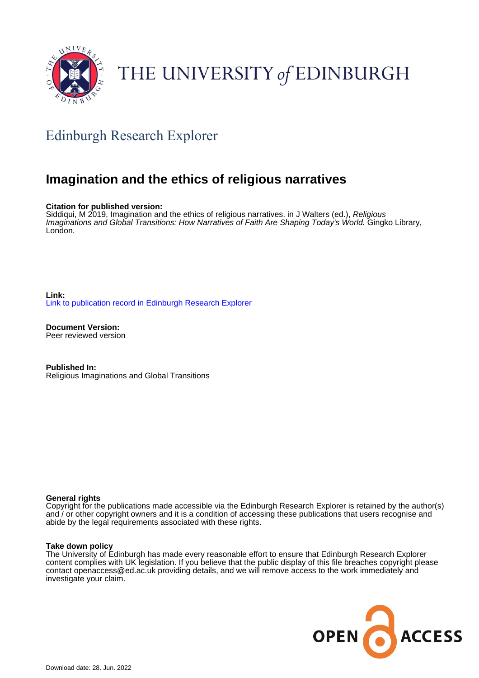

# THE UNIVERSITY of EDINBURGH

## Edinburgh Research Explorer

### **Imagination and the ethics of religious narratives**

**Citation for published version:**

Siddiqui, M 2019, Imagination and the ethics of religious narratives. in J Walters (ed.), Religious Imaginations and Global Transitions: How Narratives of Faith Are Shaping Today's World. Gingko Library, London.

**Link:** [Link to publication record in Edinburgh Research Explorer](https://www.research.ed.ac.uk/en/publications/f5c98dc5-0b07-4a92-b91f-ac2d4b2a4ecf)

**Document Version:** Peer reviewed version

**Published In:** Religious Imaginations and Global Transitions

#### **General rights**

Copyright for the publications made accessible via the Edinburgh Research Explorer is retained by the author(s) and / or other copyright owners and it is a condition of accessing these publications that users recognise and abide by the legal requirements associated with these rights.

#### **Take down policy**

The University of Edinburgh has made every reasonable effort to ensure that Edinburgh Research Explorer content complies with UK legislation. If you believe that the public display of this file breaches copyright please contact openaccess@ed.ac.uk providing details, and we will remove access to the work immediately and investigate your claim.

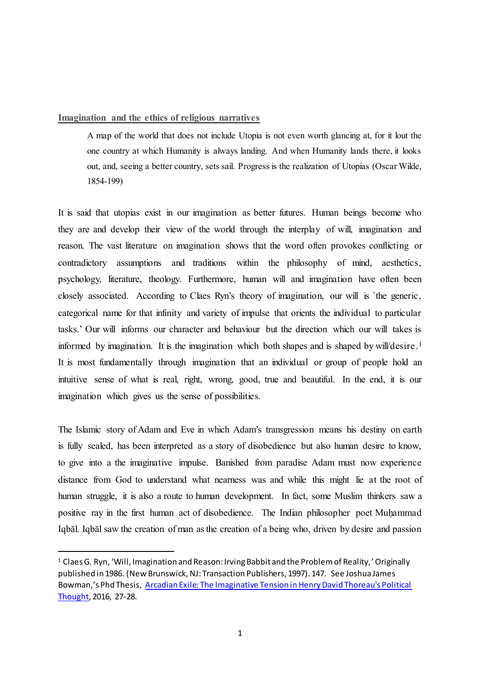#### **Imagination and the ethics of religious narratives**

A map of the world that does not include Utopia is not even worth glancing at, for it lout the one country at which Humanity is always landing. And when Humanity lands there, it looks out, and, seeing a better country, sets sail. Progress is the realization of Utopias (Oscar Wilde, 1854-199)

It is said that utopias exist in our imagination as better futures. Human beings become who they are and develop their view of the world through the interplay of will, imagination and reason. The vast literature on imagination shows that the word often provokes conflicting or contradictory assumptions and traditions within the philosophy of mind, aesthetics, psychology, literature, theology. Furthermore, human will and imagination have often been closely associated. According to Claes Ryn's theory of imagination, our will is `the generic, categorical name for that infinity and variety of impulse that orients the individual to particular tasks.' Our will informs our character and behaviour but the direction which our will takes is informed by imagination. It is the imagination which both shapes and is shaped by will/desire. 1 It is most fundamentally through imagination that an individual or group of people hold an intuitive sense of what is real, right, wrong, good, true and beautiful. In the end, it is our imagination which gives us the sense of possibilities.

The Islamic story of Adam and Eve in which Adam's transgression means his destiny on earth is fully sealed, has been interpreted as a story of disobedience but also human desire to know, to give into a the imaginative impulse. Banished from paradise Adam must now experience distance from God to understand what nearness was and while this might lie at the root of human struggle, it is also a route to human development. In fact, some Muslim thinkers saw a positive ray in the first human act of disobedience. The Indian philosopher poet Muḥammad Iqbāl. Iqbāl saw the creation of man as the creation of a being who, driven by desire and passion

<sup>&</sup>lt;sup>1</sup> Claes G. Ryn, 'Will, Imagination and Reason: Irving Babbit and the Problem of Reality,' Originally published in 1986. (New Brunswick, NJ: Transaction Publishers, 1997). 147. See Joshua James Bowman,'s Phd Thesis, [Arcadian Exile: The Imaginative Tension in Henry David Thoreau's Political](https://discovered.ed.ac.uk/primo-explore/search?query=%2C%2CArcadian%20Exile%3A%20The%20Imaginative%20Tension%20in%20Henry%20David%20Thoreau)  [Thought,](https://discovered.ed.ac.uk/primo-explore/search?query=%2C%2CArcadian%20Exile%3A%20The%20Imaginative%20Tension%20in%20Henry%20David%20Thoreau) 2016, 27-28.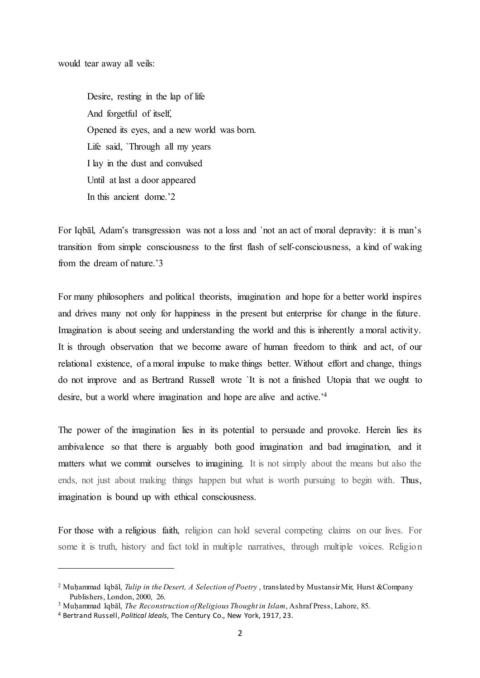would tear away all veils:

Desire, resting in the lap of life And forgetful of itself, Opened its eyes, and a new world was born. Life said, `Through all my years I lay in the dust and convulsed Until at last a door appeared In this ancient dome.'2

For Iqbāl, Adam's transgression was not a loss and `not an act of moral depravity: it is man's transition from simple consciousness to the first flash of self-consciousness, a kind of waking from the dream of nature.'3

For many philosophers and political theorists, imagination and hope for a better world inspires and drives many not only for happiness in the present but enterprise for change in the future. Imagination is about seeing and understanding the world and this is inherently a moral activity. It is through observation that we become aware of human freedom to think and act, of our relational existence, of a moral impulse to make things better. Without effort and change, things do not improve and as Bertrand Russell wrote `It is not a finished Utopia that we ought to desire, but a world where imagination and hope are alive and active.<sup>'4</sup>

The power of the imagination lies in its potential to persuade and provoke. Herein lies its ambivalence so that there is arguably both good imagination and bad imagination, and it matters what we commit ourselves to imagining. It is not simply about the means but also the ends, not just about making things happen but what is worth pursuing to begin with. Thus, imagination is bound up with ethical consciousness.

For those with a religious faith, religion can hold several competing claims on our lives. For some it is truth, history and fact told in multiple narratives, through multiple voices. Religion

<sup>&</sup>lt;sup>2</sup> Muhammad Iqbāl, *Tulip in the Desert, A Selection of Poetry*, translated by Mustansir Mir, Hurst &Company Publishers, London, 2000, 26.

<sup>&</sup>lt;sup>3</sup> Muhammad Iqbāl, *The Reconstruction of Religious Thought in Islam*, Ashraf Press, Lahore, 85.

<sup>4</sup> Bertrand Russell, *Political Ideals*, The Century Co., New York, 1917, 23.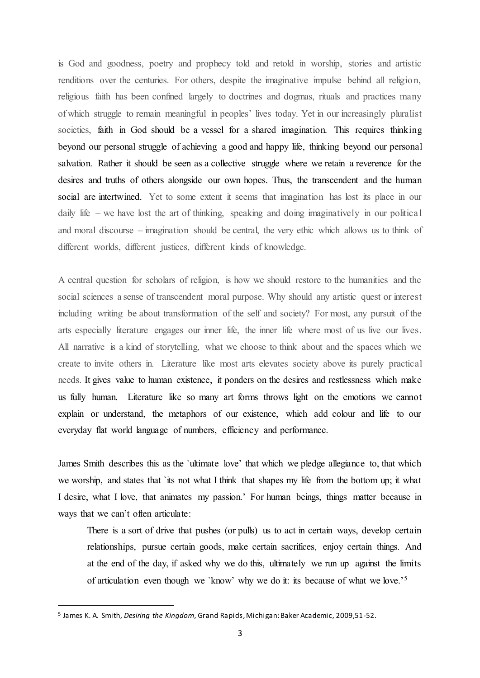is God and goodness, poetry and prophecy told and retold in worship, stories and artistic renditions over the centuries. For others, despite the imaginative impulse behind all religion, religious faith has been confined largely to doctrines and dogmas, rituals and practices many of which struggle to remain meaningful in peoples' lives today. Yet in our increasingly pluralist societies, faith in God should be a vessel for a shared imagination. This requires thinking beyond our personal struggle of achieving a good and happy life, thinking beyond our personal salvation. Rather it should be seen as a collective struggle where we retain a reverence for the desires and truths of others alongside our own hopes. Thus, the transcendent and the human social are intertwined. Yet to some extent it seems that imagination has lost its place in our daily life – we have lost the art of thinking, speaking and doing imaginatively in our political and moral discourse – imagination should be central, the very ethic which allows us to think of different worlds, different justices, different kinds of knowledge.

A central question for scholars of religion, is how we should restore to the humanities and the social sciences a sense of transcendent moral purpose. Why should any artistic quest or interest including writing be about transformation of the self and society? For most, any pursuit of the arts especially literature engages our inner life, the inner life where most of us live our lives. All narrative is a kind of storytelling, what we choose to think about and the spaces which we create to invite others in. Literature like most arts elevates society above its purely practical needs. It gives value to human existence, it ponders on the desires and restlessness which make us fully human. Literature like so many art forms throws light on the emotions we cannot explain or understand, the metaphors of our existence, which add colour and life to our everyday flat world language of numbers, efficiency and performance.

James Smith describes this as the `ultimate love' that which we pledge allegiance to, that which we worship, and states that `its not what I think that shapes my life from the bottom up; it what I desire, what I love, that animates my passion.' For human beings, things matter because in ways that we can't often articulate:

There is a sort of drive that pushes (or pulls) us to act in certain ways, develop certain relationships, pursue certain goods, make certain sacrifices, enjoy certain things. And at the end of the day, if asked why we do this, ultimately we run up against the limits of articulation even though we `know' why we do it: its because of what we love.'<sup>5</sup>

<sup>5</sup> James K. A. Smith, *Desiring the Kingdom*, Grand Rapids, Michigan: Baker Academic, 2009,51-52.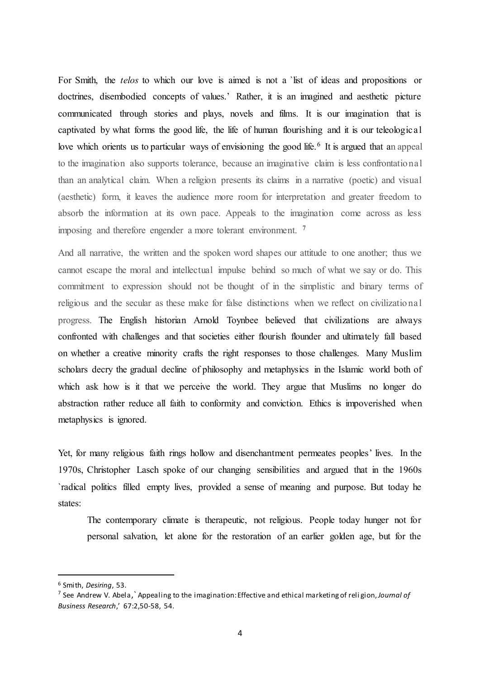For Smith, the *telos* to which our love is aimed is not a 'list of ideas and propositions or doctrines, disembodied concepts of values.' Rather, it is an imagined and aesthetic picture communicated through stories and plays, novels and films. It is our imagination that is captivated by what forms the good life, the life of human flourishing and it is our teleological love which orients us to particular ways of envisioning the good life.<sup>6</sup> It is argued that an appeal to the imagination also supports tolerance, because an imaginative claim is less confrontational than an analytical claim. When a religion presents its claims in a narrative (poetic) and visual (aesthetic) form, it leaves the audience more room for interpretation and greater freedom to absorb the information at its own pace. Appeals to the imagination come across as less imposing and therefore engender a more tolerant environment. <sup>7</sup>

And all narrative, the written and the spoken word shapes our attitude to one another; thus we cannot escape the moral and intellectual impulse behind so much of what we say or do. This commitment to expression should not be thought of in the simplistic and binary terms of religious and the secular as these make for false distinctions when we reflect on civilizational progress. The English historian Arnold Toynbee believed that civilizations are always confronted with challenges and that societies either flourish flounder and ultimately fall based on whether a creative minority crafts the right responses to those challenges. Many Muslim scholars decry the gradual decline of philosophy and metaphysics in the Islamic world both of which ask how is it that we perceive the world. They argue that Muslims no longer do abstraction rather reduce all faith to conformity and conviction. Ethics is impoverished when metaphysics is ignored.

Yet, for many religious faith rings hollow and disenchantment permeates peoples' lives. In the 1970s, Christopher Lasch spoke of our changing sensibilities and argued that in the 1960s `radical politics filled empty lives, provided a sense of meaning and purpose. But today he states:

The contemporary climate is therapeutic, not religious. People today hunger not for personal salvation, let alone for the restoration of an earlier golden age, but for the

<sup>6</sup> Smith, *Desiring*, 53.

<sup>7</sup> See Andrew V. Abela,` Appealing to the imagination: Effective and ethical marketing of reli gion, *Journal of Business Research*,' 67:2,50-58, 54.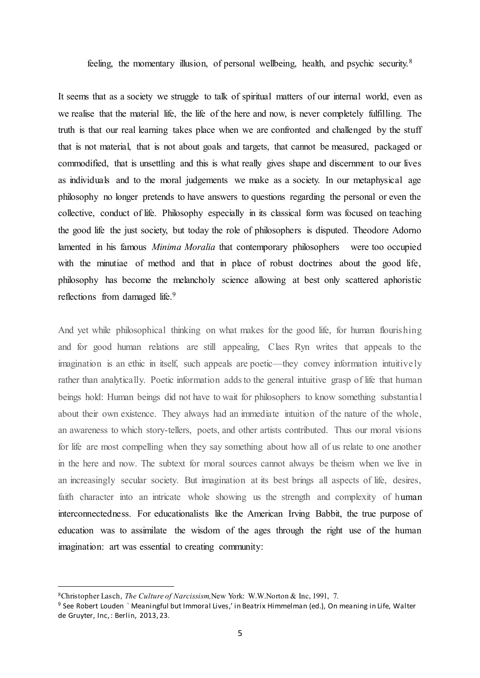feeling, the momentary illusion, of personal wellbeing, health, and psychic security.<sup>8</sup>

It seems that as a society we struggle to talk of spiritual matters of our internal world, even as we realise that the material life, the life of the here and now, is never completely fulfilling. The truth is that our real learning takes place when we are confronted and challenged by the stuff that is not material, that is not about goals and targets, that cannot be measured, packaged or commodified, that is unsettling and this is what really gives shape and discernment to our lives as individuals and to the moral judgements we make as a society. In our metaphysical age philosophy no longer pretends to have answers to questions regarding the personal or even the collective, conduct of life. Philosophy especially in its classical form was focused on teaching the good life the just society, but today the role of philosophers is disputed. Theodore Adorno lamented in his famous *Minima Moralia* that contemporary philosophers were too occupied with the minutiae of method and that in place of robust doctrines about the good life, philosophy has become the melancholy science allowing at best only scattered aphoristic reflections from damaged life.<sup>9</sup>

And yet while philosophical thinking on what makes for the good life, for human flourishing and for good human relations are still appealing, Claes Ryn writes that appeals to the imagination is an ethic in itself, such appeals are poetic—they convey information intuitively rather than analytically. Poetic information adds to the general intuitive grasp of life that human beings hold: Human beings did not have to wait for philosophers to know something substantial about their own existence. They always had an immediate intuition of the nature of the whole, an awareness to which story-tellers, poets, and other artists contributed. Thus our moral visions for life are most compelling when they say something about how all of us relate to one another in the here and now. The subtext for moral sources cannot always be theism when we live in an increasingly secular society. But imagination at its best brings all aspects of life, desires, faith character into an intricate whole showing us the strength and complexity of human interconnectedness. For educationalists like the American Irving Babbit, the true purpose of education was to assimilate the wisdom of the ages through the right use of the human imagination: art was essential to creating community:

<sup>8</sup>Christopher Lasch, *The Culture of Narcissism,*New York: W.W.Norton & Inc, 1991, 7.

<sup>9</sup> See Robert Louden ` Meaningful but Immoral Lives,' in Beatrix Himmelman (ed.), On meaning in Life, Walter de Gruyter, Inc, : Berlin, 2013, 23.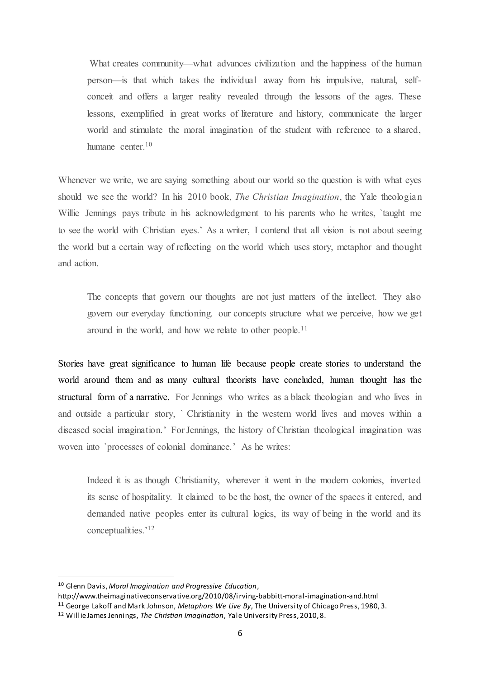What creates community—what advances civilization and the happiness of the human person—is that which takes the individual away from his impulsive, natural, selfconceit and offers a larger reality revealed through the lessons of the ages. These lessons, exemplified in great works of literature and history, communicate the larger world and stimulate the moral imagination of the student with reference to a shared, humane center  $10$ 

Whenever we write, we are saying something about our world so the question is with what eyes should we see the world? In his 2010 book, *The Christian Imagination*, the Yale theologian Willie Jennings pays tribute in his acknowledgment to his parents who he writes, `taught me to see the world with Christian eyes.' As a writer, I contend that all vision is not about seeing the world but a certain way of reflecting on the world which uses story, metaphor and thought and action.

The concepts that govern our thoughts are not just matters of the intellect. They also govern our everyday functioning. our concepts structure what we perceive, how we get around in the world, and how we relate to other people.<sup>11</sup>

Stories have great significance to human life because people create stories to understand the world around them and as many cultural theorists have concluded, human thought has the structural form of a narrative. For Jennings who writes as a black theologian and who lives in and outside a particular story, ` Christianity in the western world lives and moves within a diseased social imagination.' For Jennings, the history of Christian theological imagination was woven into `processes of colonial dominance.' As he writes:

Indeed it is as though Christianity, wherever it went in the modern colonies, inverted its sense of hospitality. It claimed to be the host, the owner of the spaces it entered, and demanded native peoples enter its cultural logics, its way of being in the world and its conceptualities.'<sup>12</sup>

<sup>10</sup> Glenn Davis, *Moral Imagination and Progressive Education*,

http://www.theimaginativeconservative.org/2010/08/irving-babbitt-moral-imagination-and.html <sup>11</sup> George Lakoff and Mark Johnson, *Metaphors We Live By*, The University of Chicago Press, 1980, 3.

<sup>12</sup> Willie James Jennings, *The Christian Imagination*, Yale University Press, 2010, 8.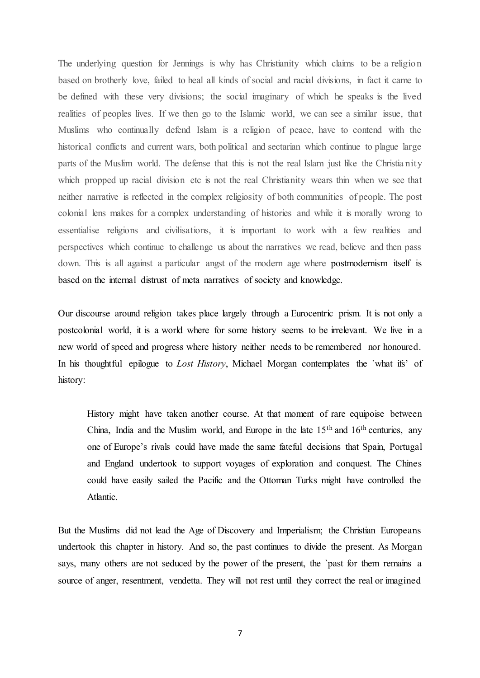The underlying question for Jennings is why has Christianity which claims to be a religion based on brotherly love, failed to heal all kinds of social and racial divisions, in fact it came to be defined with these very divisions; the social imaginary of which he speaks is the lived realities of peoples lives. If we then go to the Islamic world, we can see a similar issue, that Muslims who continually defend Islam is a religion of peace, have to contend with the historical conflicts and current wars, both political and sectarian which continue to plague large parts of the Muslim world. The defense that this is not the real Islam just like the Christia nity which propped up racial division etc is not the real Christianity wears thin when we see that neither narrative is reflected in the complex religiosity of both communities of people. The post colonial lens makes for a complex understanding of histories and while it is morally wrong to essentialise religions and civilisations, it is important to work with a few realities and perspectives which continue to challenge us about the narratives we read, believe and then pass down. This is all against a particular angst of the modern age where postmodernism itself is based on the internal distrust of meta narratives of society and knowledge.

Our discourse around religion takes place largely through a Eurocentric prism. It is not only a postcolonial world, it is a world where for some history seems to be irrelevant. We live in a new world of speed and progress where history neither needs to be remembered nor honoured. In his thoughtful epilogue to *Lost History*, Michael Morgan contemplates the `what ifs' of history:

History might have taken another course. At that moment of rare equipoise between China, India and the Muslim world, and Europe in the late  $15<sup>th</sup>$  and  $16<sup>th</sup>$  centuries, any one of Europe's rivals could have made the same fateful decisions that Spain, Portugal and England undertook to support voyages of exploration and conquest. The Chines could have easily sailed the Pacific and the Ottoman Turks might have controlled the Atlantic.

But the Muslims did not lead the Age of Discovery and Imperialism; the Christian Europeans undertook this chapter in history. And so, the past continues to divide the present. As Morgan says, many others are not seduced by the power of the present, the `past for them remains a source of anger, resentment, vendetta. They will not rest until they correct the real or imagined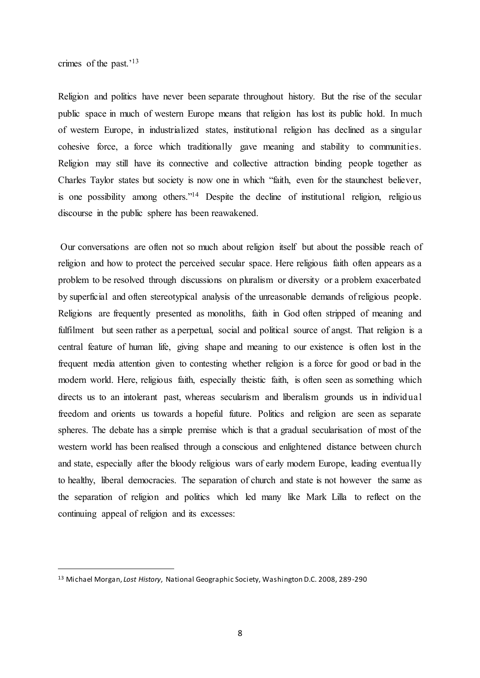crimes of the past.'<sup>13</sup>

 $\overline{a}$ 

Religion and politics have never been separate throughout history. But the rise of the secular public space in much of western Europe means that religion has lost its public hold. In much of western Europe, in industrialized states, institutional religion has declined as a singular cohesive force, a force which traditionally gave meaning and stability to communities. Religion may still have its connective and collective attraction binding people together as Charles Taylor states but society is now one in which "faith, even for the staunchest believer, is one possibility among others."<sup>14</sup> Despite the decline of institutional religion, religious discourse in the public sphere has been reawakened.

Our conversations are often not so much about religion itself but about the possible reach of religion and how to protect the perceived secular space. Here religious faith often appears as a problem to be resolved through discussions on pluralism or diversity or a problem exacerbated by superficial and often stereotypical analysis of the unreasonable demands of religious people. Religions are frequently presented as monoliths, faith in God often stripped of meaning and fulfilment but seen rather as a perpetual, social and political source of angst. That religion is a central feature of human life, giving shape and meaning to our existence is often lost in the frequent media attention given to contesting whether religion is a force for good or bad in the modern world. Here, religious faith, especially theistic faith, is often seen as something which directs us to an intolerant past, whereas secularism and liberalism grounds us in individual freedom and orients us towards a hopeful future. Politics and religion are seen as separate spheres. The debate has a simple premise which is that a gradual secularisation of most of the western world has been realised through a conscious and enlightened distance between church and state, especially after the bloody religious wars of early modern Europe, leading eventually to healthy, liberal democracies. The separation of church and state is not however the same as the separation of religion and politics which led many like Mark Lilla to reflect on the continuing appeal of religion and its excesses:

<sup>13</sup> Michael Morgan, *Lost History*, National Geographic Society, Washington D.C. 2008, 289-290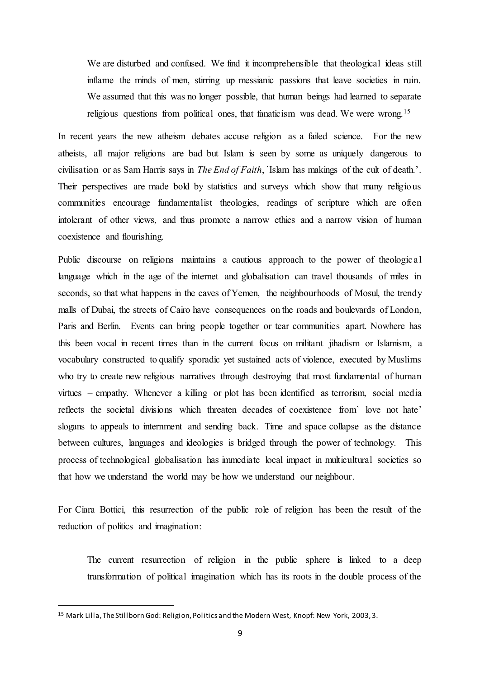We are disturbed and confused. We find it incomprehensible that theological ideas still inflame the minds of men, stirring up messianic passions that leave societies in ruin. We assumed that this was no longer possible, that human beings had learned to separate religious questions from political ones, that fanaticism was dead. We were wrong.<sup>15</sup>

In recent years the new atheism debates accuse religion as a failed science. For the new atheists, all major religions are bad but Islam is seen by some as uniquely dangerous to civilisation or as Sam Harris says in *The End of Faith*, `Islam has makings of the cult of death.'. Their perspectives are made bold by statistics and surveys which show that many religious communities encourage fundamentalist theologies, readings of scripture which are often intolerant of other views, and thus promote a narrow ethics and a narrow vision of human coexistence and flourishing.

Public discourse on religions maintains a cautious approach to the power of theological language which in the age of the internet and globalisation can travel thousands of miles in seconds, so that what happens in the caves of Yemen, the neighbourhoods of Mosul, the trendy malls of Dubai, the streets of Cairo have consequences on the roads and boulevards of London, Paris and Berlin. Events can bring people together or tear communities apart. Nowhere has this been vocal in recent times than in the current focus on militant jihadism or Islamism, a vocabulary constructed to qualify sporadic yet sustained acts of violence, executed by Muslims who try to create new religious narratives through destroying that most fundamental of human virtues – empathy. Whenever a killing or plot has been identified as terrorism, social media reflects the societal divisions which threaten decades of coexistence from` love not hate' slogans to appeals to internment and sending back. Time and space collapse as the distance between cultures, languages and ideologies is bridged through the power of technology. This process of technological globalisation has immediate local impact in multicultural societies so that how we understand the world may be how we understand our neighbour.

For Ciara Bottici, this resurrection of the public role of religion has been the result of the reduction of politics and imagination:

The current resurrection of religion in the public sphere is linked to a deep transformation of political imagination which has its roots in the double process of the

<sup>15</sup> Mark Lilla, The Stillborn God: Religion, Politics and the Modern West, Knopf: New York, 2003, 3.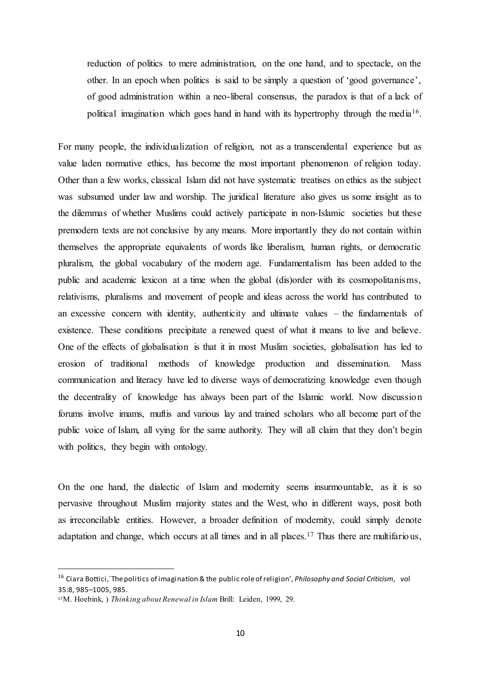reduction of politics to mere administration, on the one hand, and to spectacle, on the other. In an epoch when politics is said to be simply a question of 'good governance', of good administration within a neo-liberal consensus, the paradox is that of a lack of political imagination which goes hand in hand with its hypertrophy through the media<sup>16</sup>.

For many people, the individualization of religion, not as a transcendental experience but as value laden normative ethics, has become the most important phenomenon of religion today. Other than a few works, classical Islam did not have systematic treatises on ethics as the subject was subsumed under law and worship. The juridical literature also gives us some insight as to the dilemmas of whether Muslims could actively participate in non-Islamic societies but these premodern texts are not conclusive by any means. More importantly they do not contain within themselves the appropriate equivalents of words like liberalism, human rights, or democratic pluralism, the global vocabulary of the modern age. Fundamentalism has been added to the public and academic lexicon at a time when the global (dis)order with its cosmopolitanisms, relativisms, pluralisms and movement of people and ideas across the world has contributed to an excessive concern with identity, authenticity and ultimate values – the fundamentals of existence. These conditions precipitate a renewed quest of what it means to live and believe. One of the effects of globalisation is that it in most Muslim societies, globalisation has led to erosion of traditional methods of knowledge production and dissemination. Mass communication and literacy have led to diverse ways of democratizing knowledge even though the decentrality of knowledge has always been part of the Islamic world. Now discussion forums involve imams, muftis and various lay and trained scholars who all become part of the public voice of Islam, all vying for the same authority. They will all claim that they don't begin with politics, they begin with ontology.

On the one hand, the dialectic of Islam and modernity seems insurmountable, as it is so pervasive throughout Muslim majority states and the West, who in different ways, posit both as irreconcilable entities. However, a broader definition of modernity, could simply denote adaptation and change, which occurs at all times and in all places.<sup>17</sup> Thus there are multifarious,

<sup>16</sup> Ciara Bottici,`The politics of imagination & the public role of religion', *Philosophy and Social Criticism*, vol 35:8, 985–1005, 985.

<sup>17</sup>M. Hoebink, ) *Thinking about Renewal in Islam* Brill: Leiden, 1999, 29.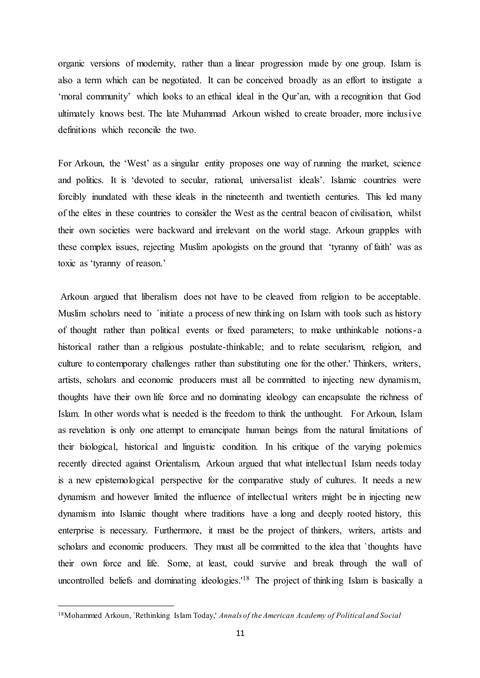organic versions of modernity, rather than a linear progression made by one group. Islam is also a term which can be negotiated. It can be conceived broadly as an effort to instigate a 'moral community' which looks to an ethical ideal in the Qur'an, with a recognition that God ultimately knows best. The late Muhammad Arkoun wished to create broader, more inclusive definitions which reconcile the two.

For Arkoun, the 'West' as a singular entity proposes one way of running the market, science and politics. It is 'devoted to secular, rational, universalist ideals'. Islamic countries were forcibly inundated with these ideals in the nineteenth and twentieth centuries. This led many of the elites in these countries to consider the West as the central beacon of civilisation, whilst their own societies were backward and irrelevant on the world stage. Arkoun grapples with these complex issues, rejecting Muslim apologists on the ground that 'tyranny of faith' was as toxic as 'tyranny of reason.'

Arkoun argued that liberalism does not have to be cleaved from religion to be acceptable. Muslim scholars need to `initiate a process of new thinking on Islam with tools such as history of thought rather than political events or fixed parameters; to make unthinkable notions-a historical rather than a religious postulate-thinkable; and to relate secularism, religion, and culture to contemporary challenges rather than substituting one for the other.' Thinkers, writers, artists, scholars and economic producers must all be committed to injecting new dynamism, thoughts have their own life force and no dominating ideology can encapsulate the richness of Islam. In other words what is needed is the freedom to think the unthought. For Arkoun, Islam as revelation is only one attempt to emancipate human beings from the natural limitations of their biological, historical and linguistic condition. In his critique of the varying polemics recently directed against Orientalism, Arkoun argued that what intellectual Islam needs today is a new epistemological perspective for the comparative study of cultures. It needs a new dynamism and however limited the influence of intellectual writers might be in injecting new dynamism into Islamic thought where traditions have a long and deeply rooted history, this enterprise is necessary. Furthermore, it must be the project of thinkers, writers, artists and scholars and economic producers. They must all be committed to the idea that `thoughts have their own force and life. Some, at least, could survive and break through the wall of uncontrolled beliefs and dominating ideologies.<sup>'18</sup> The project of thinking Islam is basically a

<sup>18</sup>Mohammed Arkoun, `Rethinking Islam Today,' *Annals of the American Academy of Political and Social*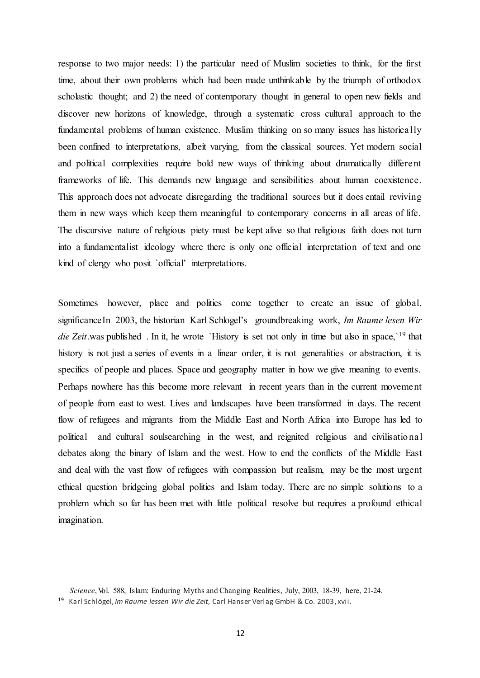response to two major needs: 1) the particular need of Muslim societies to think, for the first time, about their own problems which had been made unthinkable by the triumph of orthodox scholastic thought; and 2) the need of contemporary thought in general to open new fields and discover new horizons of knowledge, through a systematic cross cultural approach to the fundamental problems of human existence. Muslim thinking on so many issues has historically been confined to interpretations, albeit varying, from the classical sources. Yet modern social and political complexities require bold new ways of thinking about dramatically different frameworks of life. This demands new language and sensibilities about human coexistence. This approach does not advocate disregarding the traditional sources but it does entail reviving them in new ways which keep them meaningful to contemporary concerns in all areas of life. The discursive nature of religious piety must be kept alive so that religious faith does not turn into a fundamentalist ideology where there is only one official interpretation of text and one kind of clergy who posit `official' interpretations.

Sometimes however, place and politics come together to create an issue of global. significanceIn 2003, the historian Karl Schlogel's groundbreaking work, *Im Raume lesen Wir die Zeit*.was published . In it, he wrote `History is set not only in time but also in space, `<sup>19</sup> that history is not just a series of events in a linear order, it is not generalities or abstraction, it is specifics of people and places. Space and geography matter in how we give meaning to events. Perhaps nowhere has this become more relevant in recent years than in the current movement of people from east to west. Lives and landscapes have been transformed in days. The recent flow of refugees and migrants from the Middle East and North Africa into Europe has led to political and cultural soulsearching in the west, and reignited religious and civilisational debates along the binary of Islam and the west. How to end the conflicts of the Middle East and deal with the vast flow of refugees with compassion but realism, may be the most urgent ethical question bridgeing global politics and Islam today. There are no simple solutions to a problem which so far has been met with little political resolve but requires a profound ethical imagination.

*Science*, Vol. 588, Islam: Enduring Myths and Changing Realities, July, 2003, 18-39, here, 21-24.

<sup>19</sup> Karl Schlögel, *Im Raume lessen Wir die Zeit*, Carl Hanser Verlag GmbH & Co. 2003, xvii.